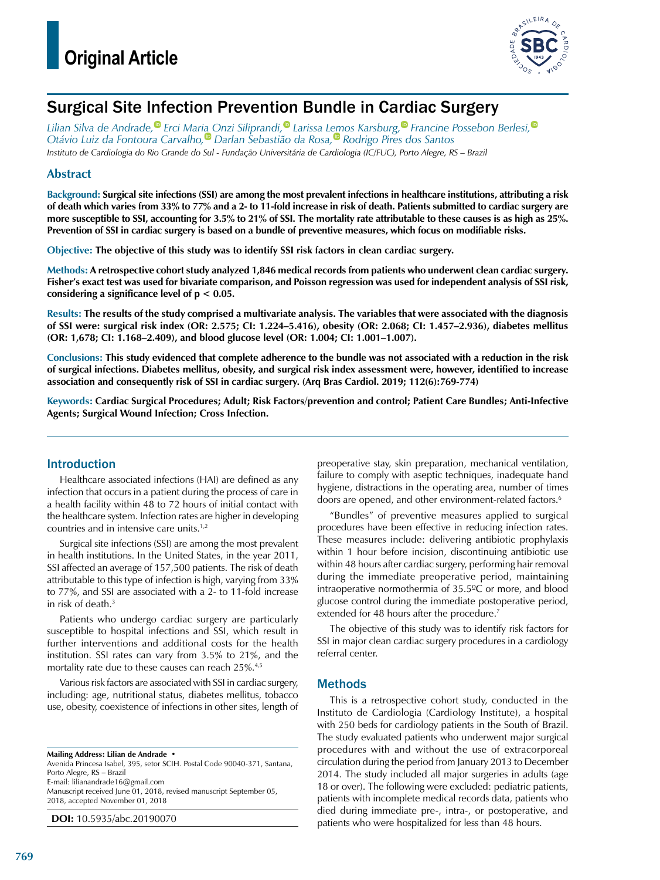

## Surgical Site Infection Prevention Bundle in Cardiac Surgery

*Lilian Silva de Andrade[,](https://orcid.org/0000-0002-9947-8148) Erci Maria Onzi Siliprandi[,](https://orcid.org/0000-0002-1092-0308) Larissa Lemos Karsburg[,](https://orcid.org/0000-0002-5639-3646) Francine Possebon Berlesi[,](https://orcid.org/0000-0001-7156-6501) Otávio Luiz da Fontoura Carvalh[o,](https://orcid.org/0000-0001-8898-4929) Darlan Sebastião da Rosa[,](https://orcid.org/0000-0001-6390-9164) Rodrigo Pires dos Santos Instituto de Cardiologia do Rio Grande do Sul - Fundação Universitária de Cardiologia (IC/FUC), Porto Alegre, RS – Brazil*

### **Abstract**

**Background: Surgical site infections (SSI) are among the most prevalent infections in healthcare institutions, attributing a risk of death which varies from 33% to 77% and a 2- to 11-fold increase in risk of death. Patients submitted to cardiac surgery are more susceptible to SSI, accounting for 3.5% to 21% of SSI. The mortality rate attributable to these causes is as high as 25%. Prevention of SSI in cardiac surgery is based on a bundle of preventive measures, which focus on modifiable risks.**

**Objective: The objective of this study was to identify SSI risk factors in clean cardiac surgery.**

**Methods: A retrospective cohort study analyzed 1,846 medical records from patients who underwent clean cardiac surgery. Fisher's exact test was used for bivariate comparison, and Poisson regression was used for independent analysis of SSI risk, considering a significance level of p < 0.05.**

**Results: The results of the study comprised a multivariate analysis. The variables that were associated with the diagnosis of SSI were: surgical risk index (OR: 2.575; CI: 1.224–5.416), obesity (OR: 2.068; CI: 1.457–2.936), diabetes mellitus (OR: 1,678; CI: 1.168–2.409), and blood glucose level (OR: 1.004; CI: 1.001–1.007).**

**Conclusions: This study evidenced that complete adherence to the bundle was not associated with a reduction in the risk of surgical infections. Diabetes mellitus, obesity, and surgical risk index assessment were, however, identified to increase association and consequently risk of SSI in cardiac surgery. (Arq Bras Cardiol. 2019; 112(6):769-774)**

**Keywords: Cardiac Surgical Procedures; Adult; Risk Factors/prevention and control; Patient Care Bundles; Anti-Infective Agents; Surgical Wound Infection; Cross Infection.**

### Introduction

Healthcare associated infections (HAI) are defined as any infection that occurs in a patient during the process of care in a health facility within 48 to 72 hours of initial contact with the healthcare system. Infection rates are higher in developing countries and in intensive care units.1,2

Surgical site infections (SSI) are among the most prevalent in health institutions. In the United States, in the year 2011, SSI affected an average of 157,500 patients. The risk of death attributable to this type of infection is high, varying from 33% to 77%, and SSI are associated with a 2- to 11-fold increase in risk of death.<sup>3</sup>

Patients who undergo cardiac surgery are particularly susceptible to hospital infections and SSI, which result in further interventions and additional costs for the health institution. SSI rates can vary from 3.5% to 21%, and the mortality rate due to these causes can reach 25%.4,5

Various risk factors are associated with SSI in cardiac surgery, including: age, nutritional status, diabetes mellitus, tobacco use, obesity, coexistence of infections in other sites, length of

**Mailing Address: Lilian de Andrade •**

Avenida Princesa Isabel, 395, setor SCIH. Postal Code 90040-371, Santana, Porto Alegre, RS – Brazil E-mail: [lilianandrade16@gmail.com](mailto:lilianandrade16@gmail.com)

Manuscript received June 01, 2018, revised manuscript September 05, 2018, accepted November 01, 2018

**DOI:** 10.5935/abc.20190070

preoperative stay, skin preparation, mechanical ventilation, failure to comply with aseptic techniques, inadequate hand hygiene, distractions in the operating area, number of times doors are opened, and other environment-related factors.<sup>6</sup>

"Bundles" of preventive measures applied to surgical procedures have been effective in reducing infection rates. These measures include: delivering antibiotic prophylaxis within 1 hour before incision, discontinuing antibiotic use within 48 hours after cardiac surgery, performing hair removal during the immediate preoperative period, maintaining intraoperative normothermia of 35.5ºC or more, and blood glucose control during the immediate postoperative period, extended for 48 hours after the procedure.<sup>7</sup>

The objective of this study was to identify risk factors for SSI in major clean cardiac surgery procedures in a cardiology referral center.

### Methods

This is a retrospective cohort study, conducted in the Instituto de Cardiologia (Cardiology Institute), a hospital with 250 beds for cardiology patients in the South of Brazil. The study evaluated patients who underwent major surgical procedures with and without the use of extracorporeal circulation during the period from January 2013 to December 2014. The study included all major surgeries in adults (age 18 or over). The following were excluded: pediatric patients, patients with incomplete medical records data, patients who died during immediate pre-, intra-, or postoperative, and patients who were hospitalized for less than 48 hours.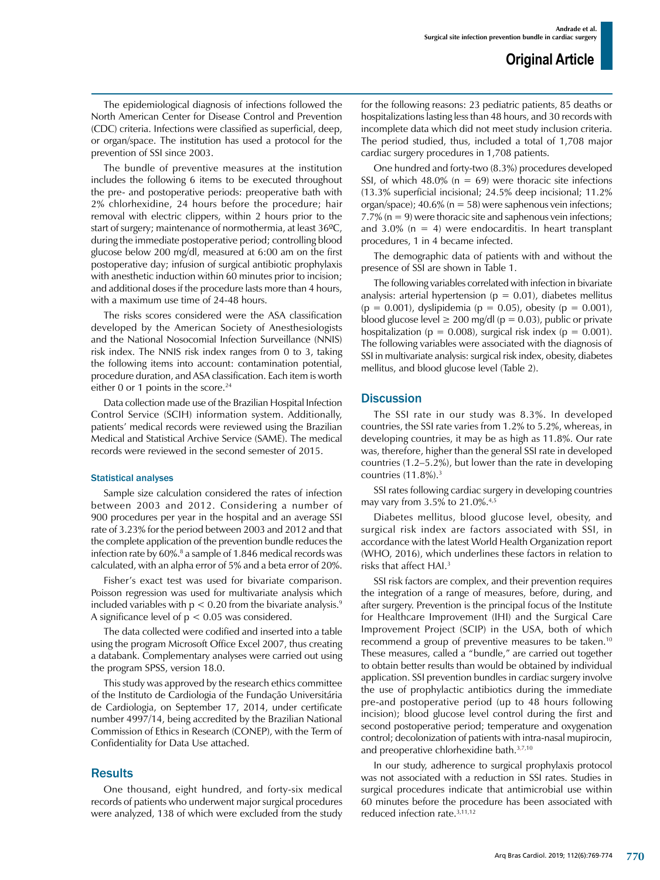The epidemiological diagnosis of infections followed the North American Center for Disease Control and Prevention (CDC) criteria. Infections were classified as superficial, deep, or organ/space. The institution has used a protocol for the prevention of SSI since 2003.

The bundle of preventive measures at the institution includes the following 6 items to be executed throughout the pre- and postoperative periods: preoperative bath with 2% chlorhexidine, 24 hours before the procedure; hair removal with electric clippers, within 2 hours prior to the start of surgery; maintenance of normothermia, at least 36ºC, during the immediate postoperative period; controlling blood glucose below 200 mg/dl, measured at 6:00 am on the first postoperative day; infusion of surgical antibiotic prophylaxis with anesthetic induction within 60 minutes prior to incision; and additional doses if the procedure lasts more than 4 hours, with a maximum use time of 24-48 hours.

The risks scores considered were the ASA classification developed by the American Society of Anesthesiologists and the National Nosocomial Infection Surveillance (NNIS) risk index. The NNIS risk index ranges from 0 to 3, taking the following items into account: contamination potential, procedure duration, and ASA classification. Each item is worth either 0 or 1 points in the score.<sup>24</sup>

Data collection made use of the Brazilian Hospital Infection Control Service (SCIH) information system. Additionally, patients' medical records were reviewed using the Brazilian Medical and Statistical Archive Service (SAME). The medical records were reviewed in the second semester of 2015.

#### Statistical analyses

Sample size calculation considered the rates of infection between 2003 and 2012. Considering a number of 900 procedures per year in the hospital and an average SSI rate of 3.23% for the period between 2003 and 2012 and that the complete application of the prevention bundle reduces the infection rate by 60%.<sup>8</sup> a sample of 1.846 medical records was calculated, with an alpha error of 5% and a beta error of 20%.

Fisher's exact test was used for bivariate comparison. Poisson regression was used for multivariate analysis which included variables with  $p < 0.20$  from the bivariate analysis.<sup>9</sup> A significance level of  $p < 0.05$  was considered.

The data collected were codified and inserted into a table using the program Microsoft Office Excel 2007, thus creating a databank. Complementary analyses were carried out using the program SPSS, version 18.0.

This study was approved by the research ethics committee of the Instituto de Cardiologia of the Fundação Universitária de Cardiologia, on September 17, 2014, under certificate number 4997/14, being accredited by the Brazilian National Commission of Ethics in Research (CONEP), with the Term of Confidentiality for Data Use attached.

#### Results

One thousand, eight hundred, and forty-six medical records of patients who underwent major surgical procedures were analyzed, 138 of which were excluded from the study for the following reasons: 23 pediatric patients, 85 deaths or hospitalizations lasting less than 48 hours, and 30 records with incomplete data which did not meet study inclusion criteria. The period studied, thus, included a total of 1,708 major cardiac surgery procedures in 1,708 patients.

One hundred and forty-two (8.3%) procedures developed SSI, of which 48.0% ( $n = 69$ ) were thoracic site infections (13.3% superficial incisional; 24.5% deep incisional; 11.2% organ/space);  $40.6\%$  (n = 58) were saphenous vein infections; 7.7% ( $n = 9$ ) were thoracic site and saphenous vein infections; and 3.0% ( $n = 4$ ) were endocarditis. In heart transplant procedures, 1 in 4 became infected.

The demographic data of patients with and without the presence of SSI are shown in Table 1.

The following variables correlated with infection in bivariate analysis: arterial hypertension ( $p = 0.01$ ), diabetes mellitus  $(p = 0.001)$ , dyslipidemia  $(p = 0.05)$ , obesity  $(p = 0.001)$ , blood glucose level  $\geq 200$  mg/dl (p = 0.03), public or private hospitalization ( $p = 0.008$ ), surgical risk index ( $p = 0.001$ ). The following variables were associated with the diagnosis of SSI in multivariate analysis: surgical risk index, obesity, diabetes mellitus, and blood glucose level (Table 2).

#### **Discussion**

The SSI rate in our study was 8.3%. In developed countries, the SSI rate varies from 1.2% to 5.2%, whereas, in developing countries, it may be as high as 11.8%. Our rate was, therefore, higher than the general SSI rate in developed countries (1.2–5.2%), but lower than the rate in developing countries  $(11.8\%)$ .<sup>3</sup>

SSI rates following cardiac surgery in developing countries may vary from 3.5% to 21.0%.4,5

Diabetes mellitus, blood glucose level, obesity, and surgical risk index are factors associated with SSI, in accordance with the latest World Health Organization report (WHO, 2016), which underlines these factors in relation to risks that affect HAI.3

SSI risk factors are complex, and their prevention requires the integration of a range of measures, before, during, and after surgery. Prevention is the principal focus of the Institute for Healthcare Improvement (IHI) and the Surgical Care Improvement Project (SCIP) in the USA, both of which recommend a group of preventive measures to be taken.10 These measures, called a "bundle," are carried out together to obtain better results than would be obtained by individual application. SSI prevention bundles in cardiac surgery involve the use of prophylactic antibiotics during the immediate pre-and postoperative period (up to 48 hours following incision); blood glucose level control during the first and second postoperative period; temperature and oxygenation control; decolonization of patients with intra-nasal mupirocin, and preoperative chlorhexidine bath.3,7,10

In our study, adherence to surgical prophylaxis protocol was not associated with a reduction in SSI rates. Studies in surgical procedures indicate that antimicrobial use within 60 minutes before the procedure has been associated with reduced infection rate.3,11,12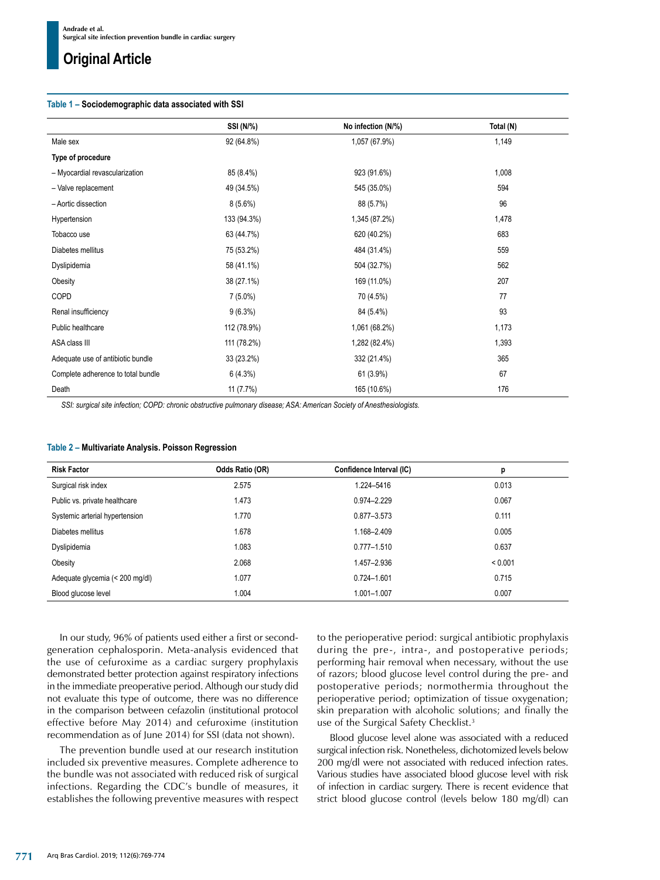## **Original Article**

#### **Table 1 – Sociodemographic data associated with SSI**

|                                    | SSI (N/%)   | No infection (N/%) | Total (N) |
|------------------------------------|-------------|--------------------|-----------|
| Male sex                           | 92 (64.8%)  | 1,057 (67.9%)      | 1,149     |
| Type of procedure                  |             |                    |           |
| - Myocardial revascularization     | 85 (8.4%)   | 923 (91.6%)        | 1,008     |
| - Valve replacement                | 49 (34.5%)  | 545 (35.0%)        | 594       |
| - Aortic dissection                | $8(5.6\%)$  | 88 (5.7%)          | 96        |
| Hypertension                       | 133 (94.3%) | 1,345 (87.2%)      | 1,478     |
| Tobacco use                        | 63 (44.7%)  | 620 (40.2%)        | 683       |
| Diabetes mellitus                  | 75 (53.2%)  | 484 (31.4%)        | 559       |
| Dyslipidemia                       | 58 (41.1%)  | 504 (32.7%)        | 562       |
| Obesity                            | 38 (27.1%)  | 169 (11.0%)        | 207       |
| COPD                               | $7(5.0\%)$  | 70 (4.5%)          | 77        |
| Renal insufficiency                | $9(6.3\%)$  | 84 (5.4%)          | 93        |
| Public healthcare                  | 112 (78.9%) | 1,061 (68.2%)      | 1,173     |
| ASA class III                      | 111 (78.2%) | 1,282 (82.4%)      | 1,393     |
| Adequate use of antibiotic bundle  | 33 (23.2%)  | 332 (21.4%)        | 365       |
| Complete adherence to total bundle | 6(4.3%)     | 61 (3.9%)          | 67        |
| Death                              | 11(7.7%)    | 165 (10.6%)        | 176       |

*SSI: surgical site infection; COPD: chronic obstructive pulmonary disease; ASA: American Society of Anesthesiologists.*

|  | Table 2 – Multivariate Analysis. Poisson Regression |  |  |  |
|--|-----------------------------------------------------|--|--|--|
|--|-----------------------------------------------------|--|--|--|

| <b>Risk Factor</b>              | Odds Ratio (OR) | Confidence Interval (IC) | р       |
|---------------------------------|-----------------|--------------------------|---------|
| Surgical risk index             | 2.575           | 1.224-5416               | 0.013   |
| Public vs. private healthcare   | 1.473           | 0.974-2.229              | 0.067   |
| Systemic arterial hypertension  | 1.770           | 0.877-3.573              | 0.111   |
| Diabetes mellitus               | 1.678           | 1.168-2.409              | 0.005   |
| Dyslipidemia                    | 1.083           | $0.777 - 1.510$          | 0.637   |
| Obesity                         | 2.068           | 1.457-2.936              | < 0.001 |
| Adequate glycemia (< 200 mg/dl) | 1.077           | $0.724 - 1.601$          | 0.715   |
| Blood glucose level             | 1.004           | 1.001-1.007              | 0.007   |

In our study, 96% of patients used either a first or secondgeneration cephalosporin. Meta-analysis evidenced that the use of cefuroxime as a cardiac surgery prophylaxis demonstrated better protection against respiratory infections in the immediate preoperative period. Although our study did not evaluate this type of outcome, there was no difference in the comparison between cefazolin (institutional protocol effective before May 2014) and cefuroxime (institution recommendation as of June 2014) for SSI (data not shown).

The prevention bundle used at our research institution included six preventive measures. Complete adherence to the bundle was not associated with reduced risk of surgical infections. Regarding the CDC's bundle of measures, it establishes the following preventive measures with respect to the perioperative period: surgical antibiotic prophylaxis during the pre-, intra-, and postoperative periods; performing hair removal when necessary, without the use of razors; blood glucose level control during the pre- and postoperative periods; normothermia throughout the perioperative period; optimization of tissue oxygenation; skin preparation with alcoholic solutions; and finally the use of the Surgical Safety Checklist.3

Blood glucose level alone was associated with a reduced surgical infection risk. Nonetheless, dichotomized levels below 200 mg/dl were not associated with reduced infection rates. Various studies have associated blood glucose level with risk of infection in cardiac surgery. There is recent evidence that strict blood glucose control (levels below 180 mg/dl) can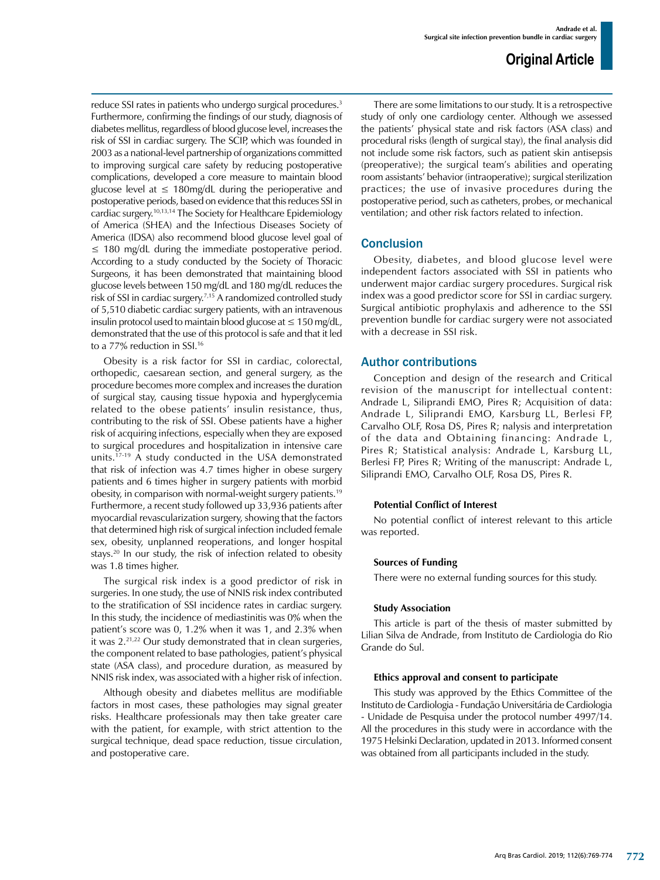reduce SSI rates in patients who undergo surgical procedures.<sup>3</sup> Furthermore, confirming the findings of our study, diagnosis of diabetes mellitus, regardless of blood glucose level, increases the risk of SSI in cardiac surgery. The SCIP, which was founded in 2003 as a national-level partnership of organizations committed to improving surgical care safety by reducing postoperative complications, developed a core measure to maintain blood glucose level at  $\leq 180$ mg/dL during the perioperative and postoperative periods, based on evidence that this reduces SSI in cardiac surgery.10,13,14 The Society for Healthcare Epidemiology of America (SHEA) and the Infectious Diseases Society of America (IDSA) also recommend blood glucose level goal of  $\leq$  180 mg/dL during the immediate postoperative period. According to a study conducted by the Society of Thoracic Surgeons, it has been demonstrated that maintaining blood glucose levels between 150 mg/dL and 180 mg/dL reduces the risk of SSI in cardiac surgery.7,15 A randomized controlled study of 5,510 diabetic cardiac surgery patients, with an intravenous insulin protocol used to maintain blood glucose at  $\leq 150$  mg/dL, demonstrated that the use of this protocol is safe and that it led to a 77% reduction in SSI.<sup>16</sup>

Obesity is a risk factor for SSI in cardiac, colorectal, orthopedic, caesarean section, and general surgery, as the procedure becomes more complex and increases the duration of surgical stay, causing tissue hypoxia and hyperglycemia related to the obese patients' insulin resistance, thus, contributing to the risk of SSI. Obese patients have a higher risk of acquiring infections, especially when they are exposed to surgical procedures and hospitalization in intensive care units.17-19 A study conducted in the USA demonstrated that risk of infection was 4.7 times higher in obese surgery patients and 6 times higher in surgery patients with morbid obesity, in comparison with normal-weight surgery patients.19 Furthermore, a recent study followed up 33,936 patients after myocardial revascularization surgery, showing that the factors that determined high risk of surgical infection included female sex, obesity, unplanned reoperations, and longer hospital stays.<sup>20</sup> In our study, the risk of infection related to obesity was 1.8 times higher.

The surgical risk index is a good predictor of risk in surgeries. In one study, the use of NNIS risk index contributed to the stratification of SSI incidence rates in cardiac surgery. In this study, the incidence of mediastinitis was 0% when the patient's score was 0, 1.2% when it was 1, and 2.3% when it was 2.<sup>21,22</sup> Our study demonstrated that in clean surgeries, the component related to base pathologies, patient's physical state (ASA class), and procedure duration, as measured by NNIS risk index, was associated with a higher risk of infection.

Although obesity and diabetes mellitus are modifiable factors in most cases, these pathologies may signal greater risks. Healthcare professionals may then take greater care with the patient, for example, with strict attention to the surgical technique, dead space reduction, tissue circulation, and postoperative care.

There are some limitations to our study. It is a retrospective study of only one cardiology center. Although we assessed the patients' physical state and risk factors (ASA class) and procedural risks (length of surgical stay), the final analysis did not include some risk factors, such as patient skin antisepsis (preoperative); the surgical team's abilities and operating room assistants' behavior (intraoperative); surgical sterilization practices; the use of invasive procedures during the postoperative period, such as catheters, probes, or mechanical ventilation; and other risk factors related to infection.

#### **Conclusion**

Obesity, diabetes, and blood glucose level were independent factors associated with SSI in patients who underwent major cardiac surgery procedures. Surgical risk index was a good predictor score for SSI in cardiac surgery. Surgical antibiotic prophylaxis and adherence to the SSI prevention bundle for cardiac surgery were not associated with a decrease in SSI risk.

#### Author contributions

Conception and design of the research and Critical revision of the manuscript for intellectual content: Andrade L, Siliprandi EMO, Pires R; Acquisition of data: Andrade L, Siliprandi EMO, Karsburg LL, Berlesi FP, Carvalho OLF, Rosa DS, Pires R; nalysis and interpretation of the data and Obtaining financing: Andrade L, Pires R; Statistical analysis: Andrade L, Karsburg LL, Berlesi FP, Pires R; Writing of the manuscript: Andrade L, Siliprandi EMO, Carvalho OLF, Rosa DS, Pires R.

#### **Potential Conflict of Interest**

No potential conflict of interest relevant to this article was reported.

#### **Sources of Funding**

There were no external funding sources for this study.

#### **Study Association**

This article is part of the thesis of master submitted by Lilian Silva de Andrade, from Instituto de Cardiologia do Rio Grande do Sul.

#### **Ethics approval and consent to participate**

This study was approved by the Ethics Committee of the Instituto de Cardiologia - Fundação Universitária de Cardiologia - Unidade de Pesquisa under the protocol number 4997/14. All the procedures in this study were in accordance with the 1975 Helsinki Declaration, updated in 2013. Informed consent was obtained from all participants included in the study.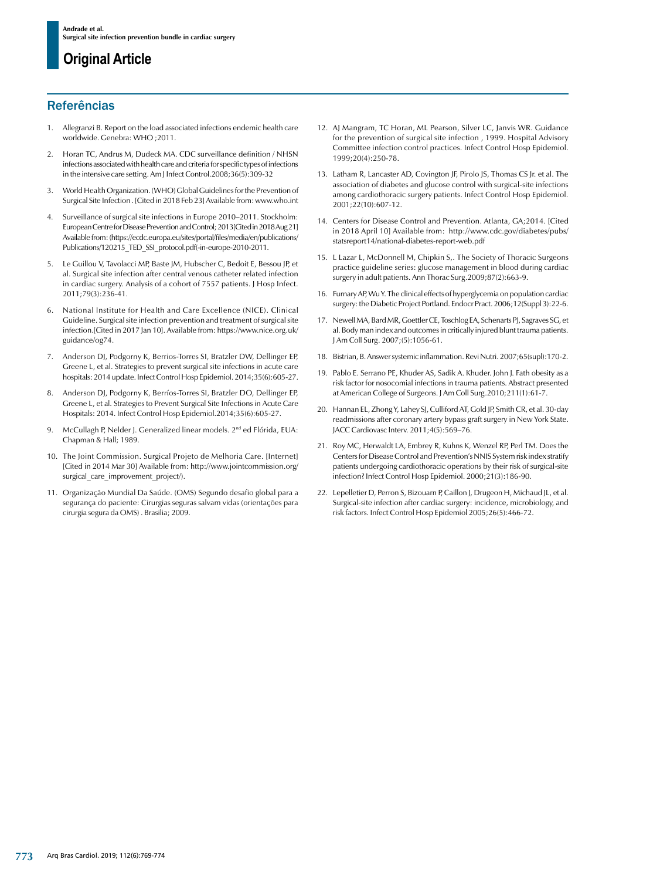## **Original Article**

## **Referências**

- 1. Allegranzi B. Report on the load associated infections endemic health care worldwide. Genebra: WHO ;2011.
- 2. Horan TC, Andrus M, Dudeck MA. CDC surveillance definition / NHSN infections associated with health care and criteria for specific types of infections in the intensive care setting. Am J Infect Control.2008;36(5):309-32
- 3. World Health Organization. (WHO) Global Guidelines for the Prevention of Surgical Site Infection . [Cited in 2018 Feb 23] Available from: [www.who.int](http://www.who.int)
- 4. Surveillance of surgical site infections in Europe 2010–2011. Stockholm: European Centre for Disease Prevention and Control; 2013[Cited in 2018 Aug 21] Available from: ([https://ecdc.europa.eu/sites/portal/files/media/en/publications/](https://ecdc.europa.eu/sites/portal/files/media/en/publications/Publications/120215_TED_SSI_protocol.pdf(-in-europe-2010-2011) [Publications/120215\\_TED\\_SSI\\_protocol.pdf\(-in-europe-2010-2011](https://ecdc.europa.eu/sites/portal/files/media/en/publications/Publications/120215_TED_SSI_protocol.pdf(-in-europe-2010-2011).
- 5. Le Guillou V, Tavolacci MP, Baste JM, Hubscher C, Bedoit E, Bessou JP, et al. Surgical site infection after central venous catheter related infection in cardiac surgery. Analysis of a cohort of 7557 patients. J Hosp Infect. 2011;79(3):236-41.
- 6. National Institute for Health and Care Excellence (NICE). Clinical Guideline. Surgical site infection prevention and treatment of surgical site infection.[Cited in 2017 Jan 10]. Available from: [https://www.nice.org.uk/](https://www.nice.org.uk/guidance/og74) [guidance/og74.](https://www.nice.org.uk/guidance/og74)
- 7. Anderson DJ, Podgorny K, Berrios-Torres SI, Bratzler DW, Dellinger EP, Greene L, et al. Strategies to prevent surgical site infections in acute care hospitals: 2014 update. Infect Control Hosp Epidemiol. 2014;35(6):605-27.
- 8. Anderson DJ, Podgorny K, Berríos-Torres SI, Bratzler DO, Dellinger EP, Greene L, et al. Strategies to Prevent Surgical Site Infections in Acute Care Hospitals: 2014. Infect Control Hosp Epidemiol.2014;35(6):605-27.
- 9. McCullagh P, Nelder J. Generalized linear models. 2<sup>nd</sup> ed Flórida, EUA: Chapman & Hall; 1989.
- 10. The Joint Commission. Surgical Projeto de Melhoria Care. [Internet] [Cited in 2014 Mar 30] Available from: [http://www.jointcommission.org/](http://www.jointcommission.org/surgical_care_improvement_project/) surgical care improvement project/).
- 11. Organização Mundial Da Saúde. (OMS) Segundo desafio global para a segurança do paciente: Cirurgias seguras salvam vidas (orientações para cirurgia segura da OMS) . Brasilia; 2009.
- 12. AJ Mangram, TC Horan, ML Pearson, Silver LC, Janvis WR. Guidance for the prevention of surgical site infection , 1999. Hospital Advisory Committee infection control practices. Infect Control Hosp Epidemiol. 1999;20(4):250-78.
- 13. Latham R, Lancaster AD, Covington JF, Pirolo JS, Thomas CS Jr. et al. The association of diabetes and glucose control with surgical-site infections among cardiothoracic surgery patients. Infect Control Hosp Epidemiol. 2001;22(10):607-12.
- 14. Centers for Disease Control and Prevention. Atlanta, GA;2014. [Cited in 2018 April 10] Available from: [http://www.cdc.gov/diabetes/pubs/](http://www.cdc.gov/diabetes/pubs/statsreport14/national-diabetes-report-web.pdf) [statsreport14/national-diabetes-report-web.pdf](http://www.cdc.gov/diabetes/pubs/statsreport14/national-diabetes-report-web.pdf)
- 15. L Lazar L, McDonnell M, Chipkin S,. The Society of Thoracic Surgeons practice guideline series: glucose management in blood during cardiac surgery in adult patients. Ann Thorac Surg.2009;87(2):663-9.
- 16. Furnary AP, Wu Y. The clinical effects of hyperglycemia on population cardiac surgery: the Diabetic Project Portland. Endocr Pract. 2006;12(Suppl 3):22-6.
- 17. Newell MA, Bard MR, Goettler CE, Toschlog EA, Schenarts PJ, Sagraves SG, et al. Body man index and outcomes in critically injured blunt trauma patients. J Am Coll Surg. 2007;(5):1056-61.
- 18. Bistrian, B. Answer systemic inflammation. Revi Nutri. 2007;65(supl):170-2.
- 19. [Pablo E. Serrano](javascript:void(0);) PE, Khuder AS, [Sadik A. Khuder. John J. Fath](javascript:void(0);) obesity as a risk factor for nosocomial infections in trauma patients. Abstract presented at American College of Surgeons. J Am Coll Surg.2010;211(1):61-7.
- 20. Hannan EL, Zhong Y, Lahey SJ, Culliford AT, Gold JP, Smith CR, et al. 30-day readmissions after coronary artery bypass graft surgery in New York State. JACC Cardiovasc Interv. 2011;4(5):569–76.
- 21. Roy MC, Herwaldt LA, Embrey R, Kuhns K, Wenzel RP, Perl TM. Does the Centers for Disease Control and Prevention's NNIS System risk index stratify patients undergoing cardiothoracic operations by their risk of surgical-site infection? Infect Control Hosp Epidemiol. 2000;21(3):186-90.
- 22. Lepelletier D, Perron S, Bizouarn P, Caillon J, Drugeon H, Michaud JL, et al. Surgical-site infection after cardiac surgery: incidence, microbiology, and risk factors. Infect Control Hosp Epidemiol 2005;26(5):466-72.